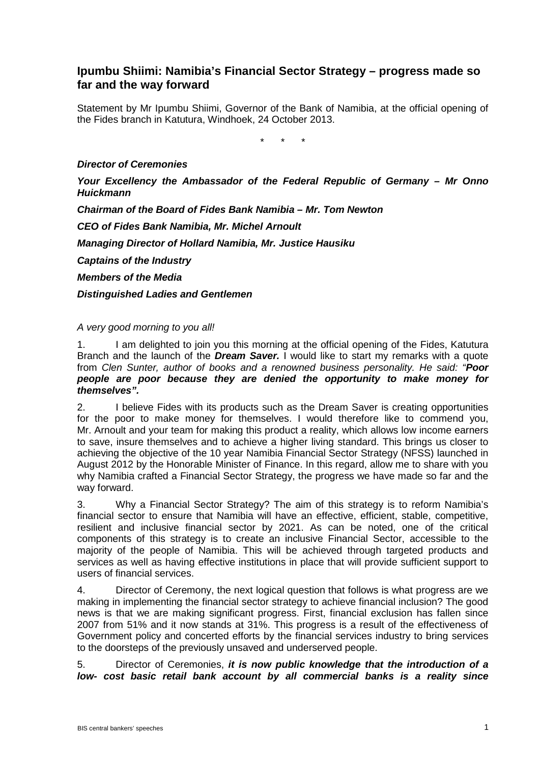## **Ipumbu Shiimi: Namibia's Financial Sector Strategy – progress made so far and the way forward**

Statement by Mr Ipumbu Shiimi, Governor of the Bank of Namibia, at the official opening of the Fides branch in Katutura, Windhoek, 24 October 2013.

\* \* \*

## *Director of Ceremonies*

*Your Excellency the Ambassador of the Federal Republic of Germany – Mr Onno Huickmann*

*Chairman of the Board of Fides Bank Namibia – Mr. Tom Newton*

*CEO of Fides Bank Namibia, Mr. Michel Arnoult*

*Managing Director of Hollard Namibia, Mr. Justice Hausiku*

*Captains of the Industry*

*Members of the Media*

*Distinguished Ladies and Gentlemen*

## *A very good morning to you all!*

1. I am delighted to join you this morning at the official opening of the Fides, Katutura Branch and the launch of the *Dream Saver.* I would like to start my remarks with a quote from *Clen Sunter, author of books and a renowned business personality. He said: "Poor people are poor because they are denied the opportunity to make money for themselves".*

2. I believe Fides with its products such as the Dream Saver is creating opportunities for the poor to make money for themselves. I would therefore like to commend you, Mr. Arnoult and your team for making this product a reality, which allows low income earners to save, insure themselves and to achieve a higher living standard. This brings us closer to achieving the objective of the 10 year Namibia Financial Sector Strategy (NFSS) launched in August 2012 by the Honorable Minister of Finance. In this regard, allow me to share with you why Namibia crafted a Financial Sector Strategy, the progress we have made so far and the way forward.

3. Why a Financial Sector Strategy? The aim of this strategy is to reform Namibia's financial sector to ensure that Namibia will have an effective, efficient, stable, competitive, resilient and inclusive financial sector by 2021. As can be noted, one of the critical components of this strategy is to create an inclusive Financial Sector, accessible to the majority of the people of Namibia. This will be achieved through targeted products and services as well as having effective institutions in place that will provide sufficient support to users of financial services.

4. Director of Ceremony, the next logical question that follows is what progress are we making in implementing the financial sector strategy to achieve financial inclusion? The good news is that we are making significant progress. First, financial exclusion has fallen since 2007 from 51% and it now stands at 31%. This progress is a result of the effectiveness of Government policy and concerted efforts by the financial services industry to bring services to the doorsteps of the previously unsaved and underserved people.

5. Director of Ceremonies, *it is now public knowledge that the introduction of a low- cost basic retail bank account by all commercial banks is a reality since*